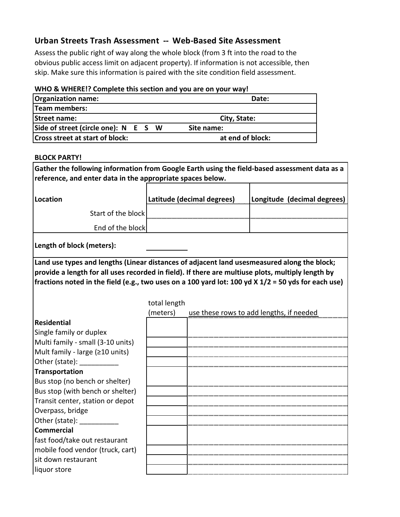## **Urban Streets Trash Assessment -- Web-Based Site Assessment**

Assess the public right of way along the whole block (from 3 ft into the road to the obvious public access limit on adjacent property). If information is not accessible, then skip. Make sure this information is paired with the site condition field assessment.

## **WHO & WHERE!? Complete this section and you are on your way!**

| <b>Organization name:</b>              | Date:            |  |
|----------------------------------------|------------------|--|
| Team members:                          |                  |  |
| <b>Street name:</b>                    | City, State:     |  |
| Side of street (circle one): N E S W   | Site name:       |  |
| <b>Cross street at start of block:</b> | at end of block: |  |
|                                        |                  |  |

## **BLOCK PARTY!**

**Gather the following information from Google Earth using the field-based assessment data as a reference, and enter data in the appropriate spaces below.**

| Location           | Latitude (decimal degrees) | Longitude (decimal degrees) |
|--------------------|----------------------------|-----------------------------|
| Start of the block |                            |                             |
| End of the block   |                            |                             |
|                    |                            |                             |

**Length of block (meters):** 

**Land use types and lengths (Linear distances of adjacent land uses measured along the block; provide a length for all uses recorded in field). If there are multiuse plots, multiply length by fractions noted in the field (e.g., two uses on a 100 yard lot: 100 yd X 1/2 = 50 yds for each use)**

|                                   | total length |                                          |
|-----------------------------------|--------------|------------------------------------------|
|                                   | (meters)     | use these rows to add lengths, if needed |
| <b>Residential</b>                |              |                                          |
| Single family or duplex           |              |                                          |
| Multi family - small (3-10 units) |              |                                          |
| Mult family - large (≥10 units)   |              |                                          |
| Other (state):                    |              |                                          |
| <b>Transportation</b>             |              |                                          |
| Bus stop (no bench or shelter)    |              |                                          |
| Bus stop (with bench or shelter)  |              |                                          |
| Transit center, station or depot  |              |                                          |
| Overpass, bridge                  |              |                                          |
| Other (state):                    |              |                                          |
| <b>Commercial</b>                 |              |                                          |
| fast food/take out restaurant     |              |                                          |
| mobile food vendor (truck, cart)  |              |                                          |
| sit down restaurant               |              |                                          |
| liquor store                      |              |                                          |